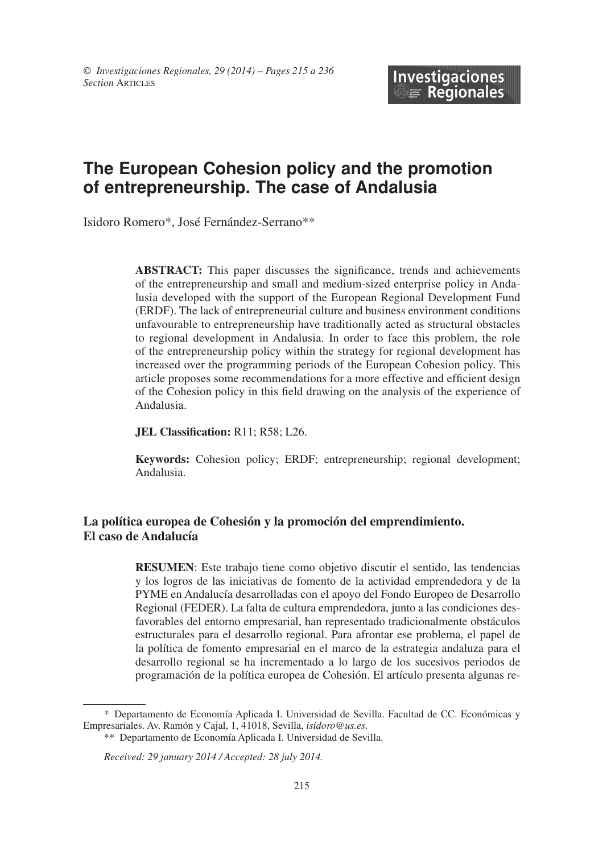# **The European Cohesion policy and the promotion of entrepreneurship. The case of Andalusia**

Isidoro Romero\*, José Fernández-Serrano\*\*

**ABSTRACT:** This paper discusses the significance, trends and achievements of the entrepreneurship and small and medium-sized enterprise policy in Andalusia developed with the support of the European Regional Development Fund (ERDF). The lack of entrepreneurial culture and business environment conditions unfavourable to entrepreneurship have traditionally acted as structural obstacles to regional development in Andalusia. In order to face this problem, the role of the entrepreneurship policy within the strategy for regional development has increased over the programming periods of the European Cohesion policy. This article proposes some recommendations for a more effective and efficient design of the Cohesion policy in this field drawing on the analysis of the experience of Andalusia.

**JEL Classification:** R11; R58; L26.

**Keywords:** Cohesion policy; ERDF; entrepreneurship; regional development; Andalusia.

## **La política europea de Cohesión y la promoción del emprendimiento. El caso de Andalucía**

**RESUMEn**: Este trabajo tiene como objetivo discutir el sentido, las tendencias y los logros de las iniciativas de fomento de la actividad emprendedora y de la PYME en Andalucía desarrolladas con el apoyo del Fondo Europeo de Desarrollo Regional (FEDER). La falta de cultura emprendedora, junto a las condiciones desfavorables del entorno empresarial, han representado tradicionalmente obstáculos estructurales para el desarrollo regional. Para afrontar ese problema, el papel de la política de fomento empresarial en el marco de la estrategia andaluza para el desarrollo regional se ha incrementado a lo largo de los sucesivos periodos de programación de la política europea de Cohesión. El artículo presenta algunas re

<sup>\*</sup> Departamento de Economía Aplicada I. Universidad de Sevilla. Facultad de CC. Económicas y Empresariales. Av. Ramón y Cajal, 1, 41018, Sevilla, *isidoro@us.es.*

<sup>\*\*</sup> Departamento de Economía Aplicada I. Universidad de Sevilla.

*Received: 29 january 2014 / Accepted: 28 july 2014.*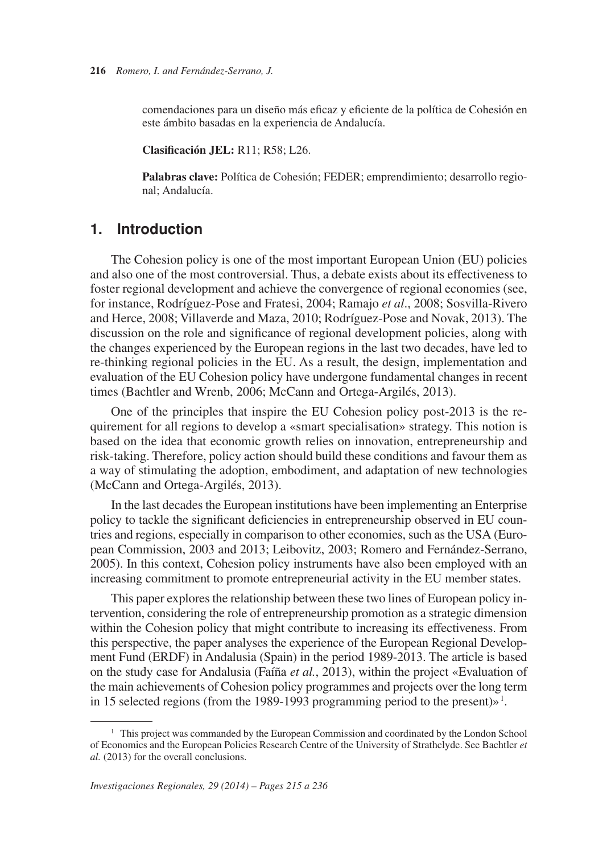comendaciones para un diseño más eficaz y eficiente de la política de Cohesión en este ámbito basadas en la experiencia de Andalucía.

**Clasificación JEL:** R11; R58; L26.

**Palabras clave:** Política de Cohesión; FEDER; emprendimiento; desarrollo regional; Andalucía.

# **1. Introduction**

The Cohesion policy is one of the most important European Union (EU) policies and also one of the most controversial. Thus, a debate exists about its effectiveness to foster regional development and achieve the convergence of regional economies (see, for instance, Rodríguez-Pose and Fratesi, 2004; Ramajo *et al*., 2008; Sosvilla-Rivero and Herce, 2008; Villaverde and Maza, 2010; Rodríguez-Pose and Novak, 2013). The discussion on the role and significance of regional development policies, along with the changes experienced by the European regions in the last two decades, have led to re-thinking regional policies in the EU. As a result, the design, implementation and evaluation of the EU Cohesion policy have undergone fundamental changes in recent times (Bachtler and Wrenb, 2006; McCann and Ortega-Argilés, 2013).

One of the principles that inspire the EU Cohesion policy post-2013 is the requirement for all regions to develop a «smart specialisation» strategy. This notion is based on the idea that economic growth relies on innovation, entrepreneurship and risk-taking. Therefore, policy action should build these conditions and favour them as a way of stimulating the adoption, embodiment, and adaptation of new technologies (McCann and Ortega-Argilés, 2013).

In the last decades the European institutions have been implementing an Enterprise policy to tackle the significant deficiencies in entrepreneurship observed in EU countries and regions, especially in comparison to other economies, such as the USA (European Commission, 2003 and 2013; Leibovitz, 2003; Romero and Fernández-Serrano, 2005). In this context, Cohesion policy instruments have also been employed with an increasing commitment to promote entrepreneurial activity in the EU member states.

in 15 selected regions (from the 1989-1993 programming period to the present)»<sup>1</sup>. This paper explores the relationship between these two lines of European policy intervention, considering the role of entrepreneurship promotion as a strategic dimension within the Cohesion policy that might contribute to increasing its effectiveness. From this perspective, the paper analyses the experience of the European Regional Development Fund (ERDF) in Andalusia (Spain) in the period 1989-2013. The article is based on the study case for Andalusia (Faíña *et al.*, 2013), within the project «Evaluation of the main achievements of Cohesion policy programmes and projects over the long term

<sup>&</sup>lt;sup>1</sup> This project was commanded by the European Commission and coordinated by the London School of Economics and the European Policies Research Centre of the University of Strathclyde. See Bachtler *et al.* (2013) for the overall conclusions.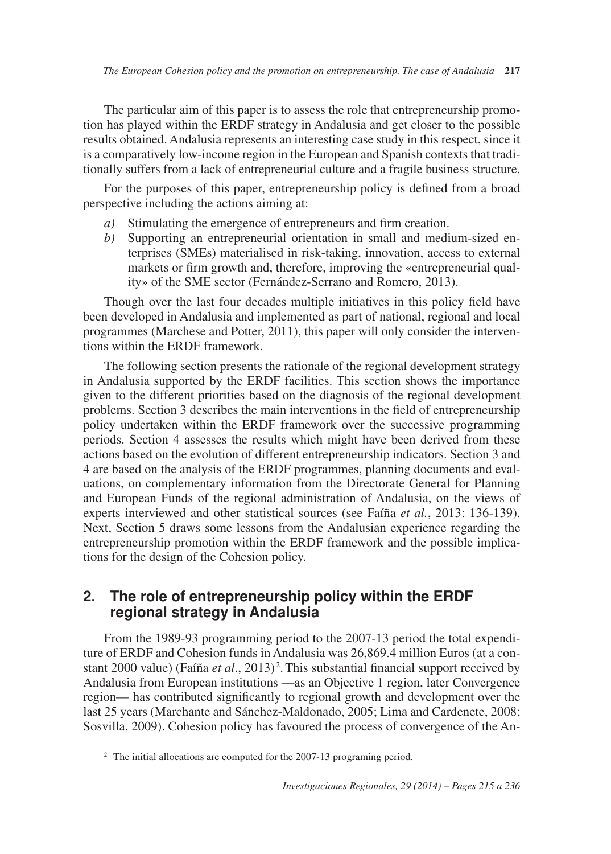The particular aim of this paper is to assess the role that entrepreneurship promotion has played within the ERDF strategy in Andalusia and get closer to the possible results obtained. Andalusia represents an interesting case study in this respect, since it is a comparatively low-income region in the European and Spanish contexts that traditionally suffers from a lack of entrepreneurial culture and a fragile business structure.

For the purposes of this paper, entrepreneurship policy is defined from a broad perspective including the actions aiming at:

- $a)$ Stimulating the emergence of entrepreneurs and firm creation.
- $b)$ Supporting an entrepreneurial orientation in small and medium-sized enterprises (SMEs) materialised in risk-taking, innovation, access to external markets or firm growth and, therefore, improving the «entrepreneurial quality» of the SME sector (Fernández-Serrano and Romero, 2013).

Though over the last four decades multiple initiatives in this policy field have been developed in Andalusia and implemented as part of national, regional and local programmes (Marchese and Potter, 2011), this paper will only consider the interventions within the ERDF framework.

The following section presents the rationale of the regional development strategy in Andalusia supported by the ERDF facilities. This section shows the importance given to the different priorities based on the diagnosis of the regional development problems. Section 3 describes the main interventions in the field of entrepreneurship policy undertaken within the ERDF framework over the successive programming periods. Section 4 assesses the results which might have been derived from these actions based on the evolution of different entrepreneurship indicators. Section 3 and 4 are based on the analysis of the ERDF programmes, planning documents and evaluations, on complementary information from the Directorate General for Planning and European Funds of the regional administration of Andalusia, on the views of experts interviewed and other statistical sources (see Faíña *et al.*, 2013: 136-139). Next, Section 5 draws some lessons from the Andalusian experience regarding the entrepreneurship promotion within the ERDF framework and the possible implications for the design of the Cohesion policy.

#### $2.$ The role of entrepreneurship policy within the ERDF **regional strategy in Andalusia**

stant 2000 value) (Faíña et al., 2013)<sup>2</sup>. This substantial financial support received by From the 1989-93 programming period to the 2007-13 period the total expenditure of ERDF and Cohesion funds in Andalusia was 26,869.4 million Euros (at a con-Andalusia from European institutions —as an Objective 1 region, later Convergence region— has contributed significantly to regional growth and development over the last 25 years (Marchante and Sánchez-Maldonado, 2005; Lima and Cardenete, 2008; Sosvilla, 2009). Cohesion policy has favoured the process of convergence of the An-

<sup>&</sup>lt;sup>2</sup> The initial allocations are computed for the 2007-13 programing period.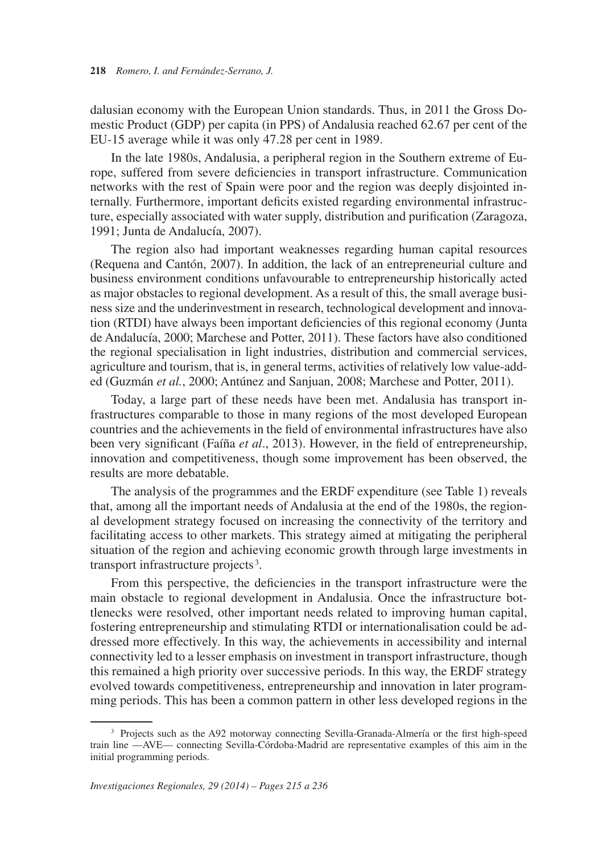dalusian economy with the European Union standards. Thus, in 2011 the Gross Domestic Product (GDP) per capita (in PPS) of Andalusia reached 62.67 per cent of the EU-15 average while it was only 47.28 per cent in 1989.

In the late 1980s, Andalusia, a peripheral region in the Southern extreme of Europe, suffered from severe deficiencies in transport infrastructure. Communication networks with the rest of Spain were poor and the region was deeply disjointed internally. Furthermore, important deficits existed regarding environmental infrastructure, especially associated with water supply, distribution and purification (Zaragoza, 1991; Junta de Andalucía, 2007).

The region also had important weaknesses regarding human capital resources (Requena and Cantón, 2007). In addition, the lack of an entrepreneurial culture and business environment conditions unfavourable to entrepreneurship historically acted as major obstacles to regional development. As a result of this, the small average business size and the underinvestment in research, technological development and innovation (RTDI) have always been important deficiencies of this regional economy (Junta de Andalucía, 2000; Marchese and Potter, 2011). These factors have also conditioned the regional specialisation in light industries, distribution and commercial services, agriculture and tourism, that is, in general terms, activities of relatively low value-added (Guzmán *et al.*, 2000; Antúnez and Sanjuan, 2008; Marchese and Potter, 2011).

Today, a large part of these needs have been met. Andalusia has transport infrastructures comparable to those in many regions of the most developed European countries and the achievements in the field of environmental infrastructures have also been very significant (Faíña *et al*., 2013). However, in the field of entrepreneurship, innovation and competitiveness, though some improvement has been observed, the results are more debatable.

 transport infrastructure projects <sup>3</sup> . The analysis of the programmes and the ERDF expenditure (see Table 1) reveals that, among all the important needs of Andalusia at the end of the 1980s, the regional development strategy focused on increasing the connectivity of the territory and facilitating access to other markets. This strategy aimed at mitigating the peripheral situation of the region and achieving economic growth through large investments in

From this perspective, the deficiencies in the transport infrastructure were the main obstacle to regional development in Andalusia. Once the infrastructure bottlenecks were resolved, other important needs related to improving human capital, fostering entrepreneurship and stimulating RTDI or internationalisation could be addressed more effectively. In this way, the achievements in accessibility and internal connectivity led to a lesser emphasis on investment in transport infrastructure, though this remained a high priority over successive periods. In this way, the ERDF strategy evolved towards competitiveness, entrepreneurship and innovation in later programming periods. This has been a common pattern in other less developed regions in the

<sup>&</sup>lt;sup>3</sup> Projects such as the A92 motorway connecting Sevilla-Granada-Almería or the first high-speed train line —AVE— connecting Sevilla-Córdoba-Madrid are representative examples of this aim in the initial programming periods.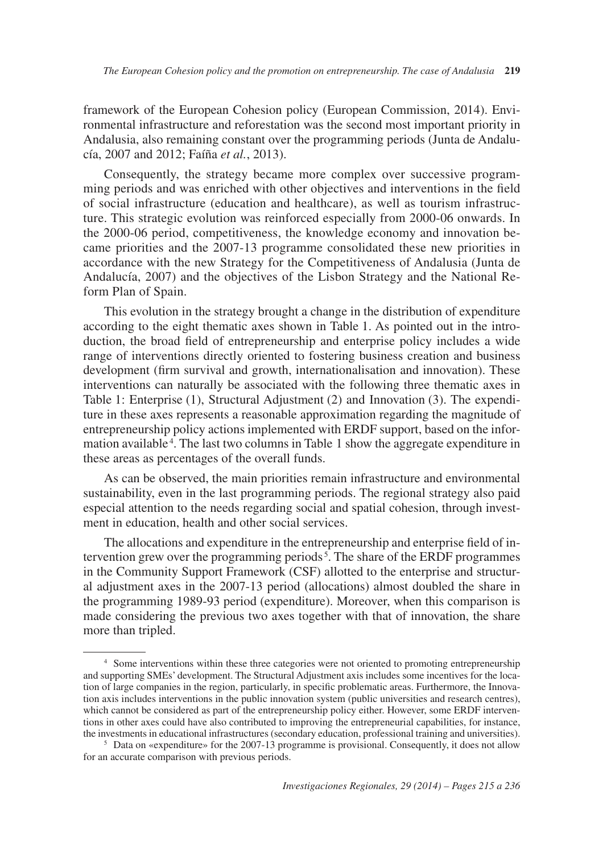framework of the European Cohesion policy (European Commission, 2014). Environmental infrastructure and reforestation was the second most important priority in Andalusia, also remaining constant over the programming periods (Junta de Andalucía, 2007 and 2012; Faíña *et al.*, 2013).

Consequently, the strategy became more complex over successive programming periods and was enriched with other objectives and interventions in the field of social infrastructure (education and healthcare), as well as tourism infrastructure. This strategic evolution was reinforced especially from 2000-06 onwards. In the 2000-06 period, competitiveness, the knowledge economy and innovation became priorities and the 2007-13 programme consolidated these new priorities in accordance with the new Strategy for the Competitiveness of Andalusia (Junta de Andalucía, 2007) and the objectives of the Lisbon Strategy and the National Reform Plan of Spain.

mation available<sup>4</sup>. The last two columns in Table 1 show the aggregate expenditure in This evolution in the strategy brought a change in the distribution of expenditure according to the eight thematic axes shown in Table 1. As pointed out in the introduction, the broad field of entrepreneurship and enterprise policy includes a wide range of interventions directly oriented to fostering business creation and business development (firm survival and growth, internationalisation and innovation). These interventions can naturally be associated with the following three thematic axes in Table 1: Enterprise (1), Structural Adjustment (2) and Innovation (3). The expenditure in these axes represents a reasonable approximation regarding the magnitude of entrepreneurship policy actions implemented with ERDF support, based on the inforthese areas as percentages of the overall funds.

As can be observed, the main priorities remain infrastructure and environmental sustainability, even in the last programming periods. The regional strategy also paid especial attention to the needs regarding social and spatial cohesion, through investment in education, health and other social services.

tervention grew over the programming periods<sup>5</sup>. The share of the ERDF programmes The allocations and expenditure in the entrepreneurship and enterprise field of inin the Community Support Framework (CSF) allotted to the enterprise and structural adjustment axes in the 2007-13 period (allocations) almost doubled the share in the programming 1989-93 period (expenditure). Moreover, when this comparison is made considering the previous two axes together with that of innovation, the share more than tripled.

<sup>&</sup>lt;sup>4</sup> Some interventions within these three categories were not oriented to promoting entrepreneurship and supporting SMEs' development. The Structural Adjustment axis includes some incentives for the location of large companies in the region, particularly, in specific problematic areas. Furthermore, the Innovation axis includes interventions in the public innovation system (public universities and research centres), which cannot be considered as part of the entrepreneurship policy either. However, some ERDF interventions in other axes could have also contributed to improving the entrepreneurial capabilities, for instance, the investments in educational infrastructures (secondary education, professional training and universities).<br><sup>5</sup> Data on «expenditure» for the 2007-13 programme is provisional. Consequently, it does not allow

for an accurate comparison with previous periods.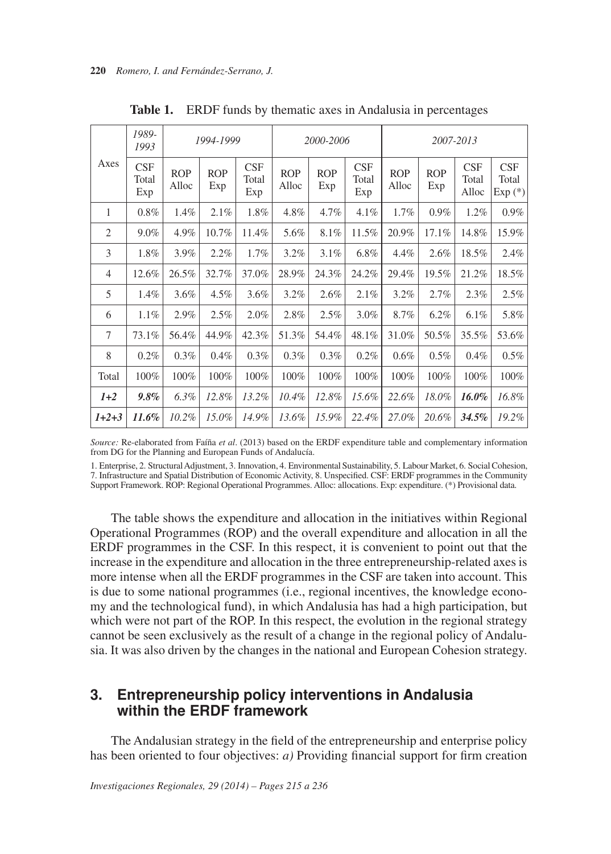| Axes           | 1989-<br>1993       |                     | 1994-1999         |                     | 2000-2006           |                   |                     | 2007-2013           |                   |                       |                          |
|----------------|---------------------|---------------------|-------------------|---------------------|---------------------|-------------------|---------------------|---------------------|-------------------|-----------------------|--------------------------|
|                | CSF<br>Total<br>Exp | <b>ROP</b><br>Alloc | <b>ROP</b><br>Exp | CSF<br>Total<br>Exp | <b>ROP</b><br>Alloc | <b>ROP</b><br>Exp | CSF<br>Total<br>Exp | <b>ROP</b><br>Alloc | <b>ROP</b><br>Exp | CSF<br>Total<br>Alloc | CSF<br>Total<br>$Exp(*)$ |
| 1              | $0.8\%$             | 1.4%                | 2.1%              | 1.8%                | 4.8%                | 4.7%              | 4.1%                | 1.7%                | $0.9\%$           | 1.2%                  | $0.9\%$                  |
| $\overline{2}$ | $9.0\%$             | 4.9%                | 10.7%             | 11.4%               | 5.6%                | 8.1%              | 11.5%               | 20.9%               | 17.1%             | 14.8%                 | 15.9%                    |
| 3              | 1.8%                | 3.9%                | 2.2%              | 1.7%                | 3.2%                | 3.1%              | 6.8%                | 4.4%                | 2.6%              | 18.5%                 | 2.4%                     |
| $\overline{4}$ | 12.6%               | 26.5%               | 32.7%             | 37.0%               | 28.9%               | 24.3%             | 24.2%               | 29.4%               | 19.5%             | 21.2%                 | 18.5%                    |
| 5              | 1.4%                | 3.6%                | $4.5\%$           | 3.6%                | $3.2\%$             | 2.6%              | 2.1%                | 3.2%                | 2.7%              | 2.3%                  | 2.5%                     |
| 6              | 1.1%                | 2.9%                | 2.5%              | 2.0%                | 2.8%                | 2.5%              | 3.0%                | 8.7%                | $6.2\%$           | 6.1%                  | 5.8%                     |
| $\tau$         | 73.1%               | 56.4%               | 44.9%             | 42.3%               | 51.3%               | 54.4%             | 48.1%               | 31.0%               | 50.5%             | 35.5%                 | 53.6%                    |
| 8              | 0.2%                | 0.3%                | 0.4%              | 0.3%                | 0.3%                | 0.3%              | 0.2%                | 0.6%                | 0.5%              | 0.4%                  | 0.5%                     |
| Total          | 100%                | 100%                | 100%              | 100%                | 100%                | 100%              | 100%                | 100%                | 100%              | 100%                  | 100%                     |
| $1+2$          | $9.8\%$             | $6.3\%$             | 12.8%             | 13.2%               | $10.4\%$            | 12.8%             | 15.6%               | 22.6%               | 18.0%             | 16.0%                 | 16.8%                    |
| $1+2+3$        | 11.6%               | 10.2%               | $15.0\%$          | 14.9%               | 13.6%               | 15.9%             | 22.4%               | 27.0%               | 20.6%             | 34.5%                 | 19.2%                    |

**Table 1.** ERDF funds by thematic axes in Andalusia in percentages

*Source:* Re-elaborated from Faíña *et al*. (2013) based on the ERDF expenditure table and complementary information from DG for the Planning and European Funds of Andalucía.

1. Enterprise, 2. Structural Adjustment, 3. Innovation, 4. Environmental Sustainability, 5. Labour Market, 6. Social Cohesion, 7. Infrastructure and Spatial Distribution of Economic Activity, 8. Unspecified. CSF: ERDF programmes in the Community Support Framework. ROP: Regional Operational Programmes. Alloc: allocations. Exp: expenditure. (\*) Provisional data.

The table shows the expenditure and allocation in the initiatives within Regional Operational Programmes (ROP) and the overall expenditure and allocation in all the ERDF programmes in the CSF. In this respect, it is convenient to point out that the increase in the expenditure and allocation in the three entrepreneurship-related axes is more intense when all the ERDF programmes in the CSF are taken into account. This is due to some national programmes (i.e., regional incentives, the knowledge economy and the technological fund), in which Andalusia has had a high participation, but which were not part of the ROP. In this respect, the evolution in the regional strategy cannot be seen exclusively as the result of a change in the regional policy of Andalusia. It was also driven by the changes in the national and European Cohesion strategy.

#### $3.$ **Entrepreneurship policy interventions in Andalusia within the ERDF framework**

The Andalusian strategy in the field of the entrepreneurship and enterprise policy has been oriented to four objectives: *a)* Providing financial support for firm creation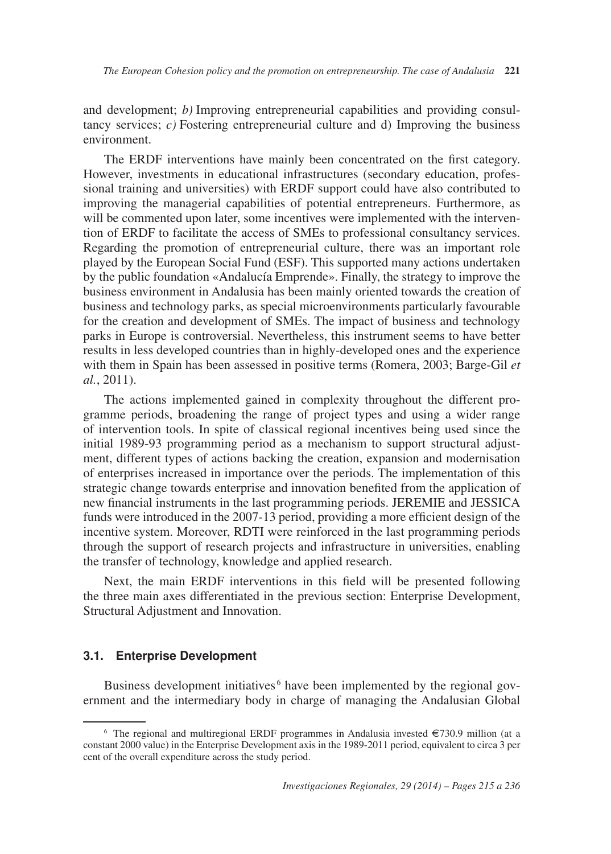and development; *b)* Improving entrepreneurial capabilities and providing consultancy services;  $c$ ) Fostering entrepreneurial culture and d) Improving the business environment.

The ERDF interventions have mainly been concentrated on the first category. However, investments in educational infrastructures (secondary education, professional training and universities) with ERDF support could have also contributed to improving the managerial capabilities of potential entrepreneurs. Furthermore, as will be commented upon later, some incentives were implemented with the intervention of ERDF to facilitate the access of SMEs to professional consultancy services. Regarding the promotion of entrepreneurial culture, there was an important role played by the European Social Fund (ESF). This supported many actions undertaken by the public foundation «Andalucía Emprende». Finally, the strategy to improve the business environment in Andalusia has been mainly oriented towards the creation of business and technology parks, as special microenvironments particularly favourable for the creation and development of SMEs. The impact of business and technology parks in Europe is controversial. Nevertheless, this instrument seems to have better results in less developed countries than in highly-developed ones and the experience with them in Spain has been assessed in positive terms (Romera, 2003; Barge-Gil *et al.*, 2011).

The actions implemented gained in complexity throughout the different programme periods, broadening the range of project types and using a wider range of intervention tools. In spite of classical regional incentives being used since the initial 1989-93 programming period as a mechanism to support structural adjustment, different types of actions backing the creation, expansion and modernisation of enterprises increased in importance over the periods. The implementation of this strategic change towards enterprise and innovation benefited from the application of new financial instruments in the last programming periods. JEREMIE and JESSICA funds were introduced in the 2007-13 period, providing a more efficient design of the incentive system. Moreover, RDTI were reinforced in the last programming periods through the support of research projects and infrastructure in universities, enabling the transfer of technology, knowledge and applied research.

Next, the main ERDF interventions in this field will be presented following the three main axes differentiated in the previous section: Enterprise Development, Structural Adjustment and Innovation.

### **3.1. Enterprise Development**

Business development initiatives<sup>6</sup> have been implemented by the regional government and the intermediary body in charge of managing the Andalusian Global

<sup>&</sup>lt;sup>6</sup> The regional and multiregional ERDF programmes in Andalusia invested  $\epsilon$ 730.9 million (at a constant 2000 value) in the Enterprise Development axis in the 1989-2011 period, equivalent to circa 3 per cent of the overall expenditure across the study period.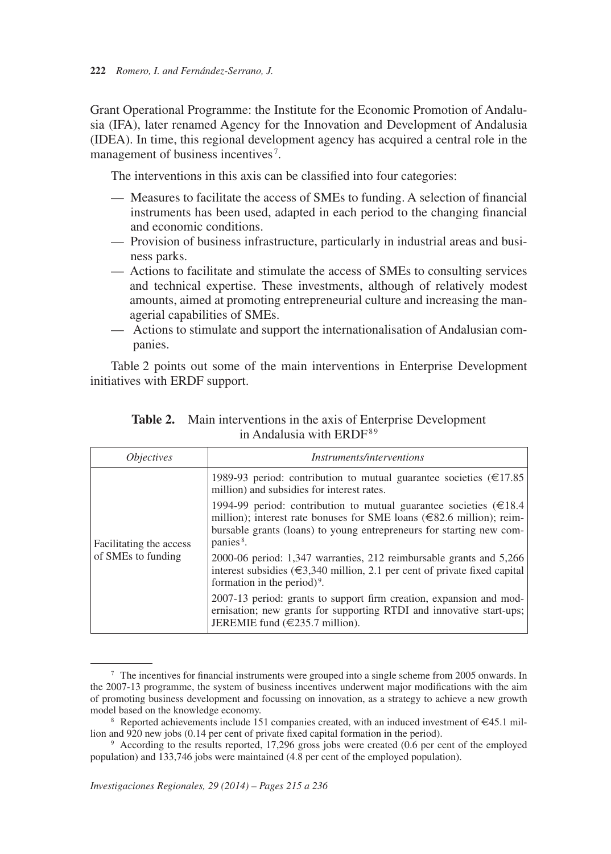management of business incentives<sup>7</sup>. Grant Operational Programme: the Institute for the Economic Promotion of Andalusia (IFA), later renamed Agency for the Innovation and Development of Andalusia (IDEA). In time, this regional development agency has acquired a central role in the

The interventions in this axis can be classified into four categories:

- Measures to facilitate the access of SMEs to funding. A selection of financial instruments has been used, adapted in each period to the changing financial and economic conditions.
- $-$  Provision of business infrastructure, particularly in industrial areas and business parks.
- Actions to facilitate and stimulate the access of SMEs to consulting services and technical expertise. These investments, although of relatively modest amounts, aimed at promoting entrepreneurial culture and increasing the managerial capabilities of SMEs.
- $-$  Actions to stimulate and support the internationalisation of Andalusian companies.

Table 2 points out some of the main interventions in Enterprise Development initiatives with ERDF support.

| <i><b>Objectives</b></i> | <i>Instruments/interventions</i>                                                                                                                                                                                                                       |
|--------------------------|--------------------------------------------------------------------------------------------------------------------------------------------------------------------------------------------------------------------------------------------------------|
|                          | 1989-93 period: contribution to mutual guarantee societies ( $\epsilon$ 17.85)<br>million) and subsidies for interest rates.                                                                                                                           |
| Facilitating the access  | 1994-99 period: contribution to mutual guarantee societies ( $\in$ 18.4<br>million); interest rate bonuses for SME loans ( $\in$ 82.6 million); reim-<br>bursable grants (loans) to young entrepreneurs for starting new com-<br>panies <sup>8</sup> . |
| of SMEs to funding       | 2000-06 period: 1,347 warranties, 212 reimbursable grants and 5,266<br>interest subsidies ( $\in 3,340$ million, 2.1 per cent of private fixed capital)<br>formation in the period) <sup>9</sup> .                                                     |
|                          | 2007-13 period: grants to support firm creation, expansion and mod-<br>ernisation; new grants for supporting RTDI and innovative start-ups;<br>JEREMIE fund $(\in 235.7 \text{ million})$ .                                                            |

| <b>Table 2.</b> Main interventions in the axis of Enterprise Development |
|--------------------------------------------------------------------------|
| in Andalusia with ERDF <sup>89</sup>                                     |

<sup>7</sup> The incentives for financial instruments were grouped into a single scheme from 2005 onwards. In the 2007-13 programme, the system of business incentives underwent major modifications with the aim of promoting business development and focussing on innovation, as a strategy to achieve a new growth

model based on the knowledge economy.<br><sup>8</sup> Reported achievements include 151 companies created, with an induced investment of  $\epsilon$ 45.1 mil-<br>lion and 920 new jobs (0.14 per cent of private fixed capital formation in the per

<sup>&</sup>lt;sup>9</sup> According to the results reported, 17,296 gross jobs were created (0.6 per cent of the employed population) and 133,746 jobs were maintained (4.8 per cent of the employed population).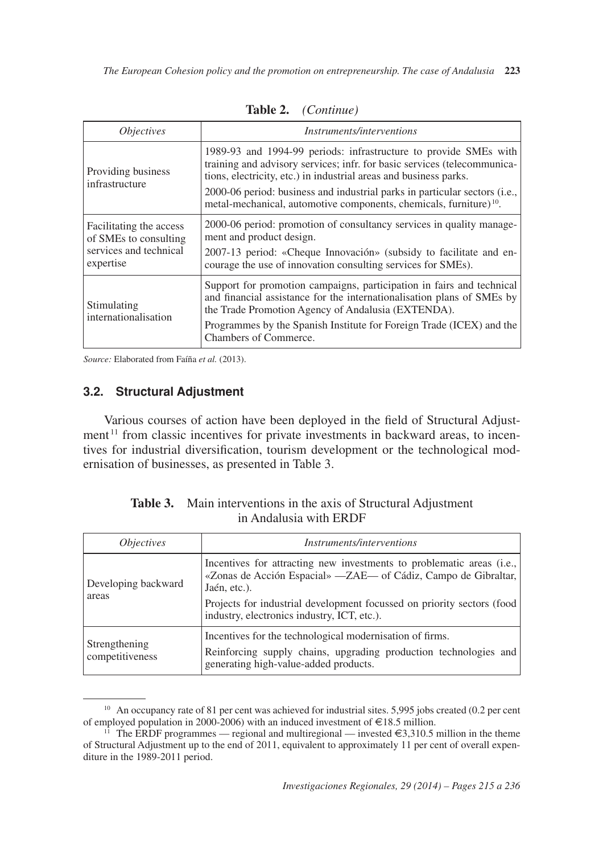| <i>Objectives</i>                                                                       | <i>Instruments/interventions</i>                                                                                                                                                                                                                                                                                                                                                  |
|-----------------------------------------------------------------------------------------|-----------------------------------------------------------------------------------------------------------------------------------------------------------------------------------------------------------------------------------------------------------------------------------------------------------------------------------------------------------------------------------|
| Providing business<br>infrastructure                                                    | 1989-93 and 1994-99 periods: infrastructure to provide SMEs with<br>training and advisory services; infr. for basic services (telecommunica-<br>tions, electricity, etc.) in industrial areas and business parks.<br>2000-06 period: business and industrial parks in particular sectors (i.e.,<br>metal-mechanical, automotive components, chemicals, furniture) <sup>10</sup> . |
| Facilitating the access<br>of SMEs to consulting<br>services and technical<br>expertise | 2000-06 period: promotion of consultancy services in quality manage-<br>ment and product design.<br>2007-13 period: «Cheque Innovación» (subsidy to facilitate and en-<br>courage the use of innovation consulting services for SMEs).                                                                                                                                            |
| Stimulating<br>internationalisation                                                     | Support for promotion campaigns, participation in fairs and technical<br>and financial assistance for the internationalisation plans of SMEs by<br>the Trade Promotion Agency of Andalusia (EXTENDA).<br>Programmes by the Spanish Institute for Foreign Trade (ICEX) and the<br>Chambers of Commerce.                                                                            |

**Table 2.** *(Continue)*

*Source:* Elaborated from Faíña *et al.* (2013).

### **3.2. Structural Adjustment**

ment<sup>11</sup> from classic incentives for private investments in backward areas, to incen-Various courses of action have been deployed in the field of Structural Adjusttives for industrial diversification, tourism development or the technological modernisation of businesses, as presented in Table 3.

| <i>Objectives</i>                | <i>Instruments/interventions</i>                                                                                                                                      |  |  |  |  |
|----------------------------------|-----------------------------------------------------------------------------------------------------------------------------------------------------------------------|--|--|--|--|
| Developing backward<br>areas     | Incentives for attracting new investments to problematic areas (i.e.,<br>«Zonas de Acción Espacial» — ZAE— of Cádiz, Campo de Gibraltar,<br>Jaén, etc.).              |  |  |  |  |
|                                  | Projects for industrial development focussed on priority sectors (food)<br>industry, electronics industry, ICT, etc.).                                                |  |  |  |  |
| Strengthening<br>competitiveness | Incentives for the technological modernisation of firms.<br>Reinforcing supply chains, upgrading production technologies and<br>generating high-value-added products. |  |  |  |  |

| <b>Table 3.</b> Main interventions in the axis of Structural Adjustment |
|-------------------------------------------------------------------------|
| in Andalusia with ERDF                                                  |

<sup>&</sup>lt;sup>10</sup> An occupancy rate of 81 per cent was achieved for industrial sites. 5,995 jobs created (0.2 per cent of employed population in 2000-2006) with an induced investment of  $\in$ 18.5 million. of employed population in 2000-2006) with an induced investment of €18.5 million.<br><sup>11</sup> The ERDF programmes — regional and multiregional — invested €3,310.5 million in the theme

of Structural Adjustment up to the end of 2011, equivalent to approximately 11 per cent of overall expenditure in the 1989-2011 period.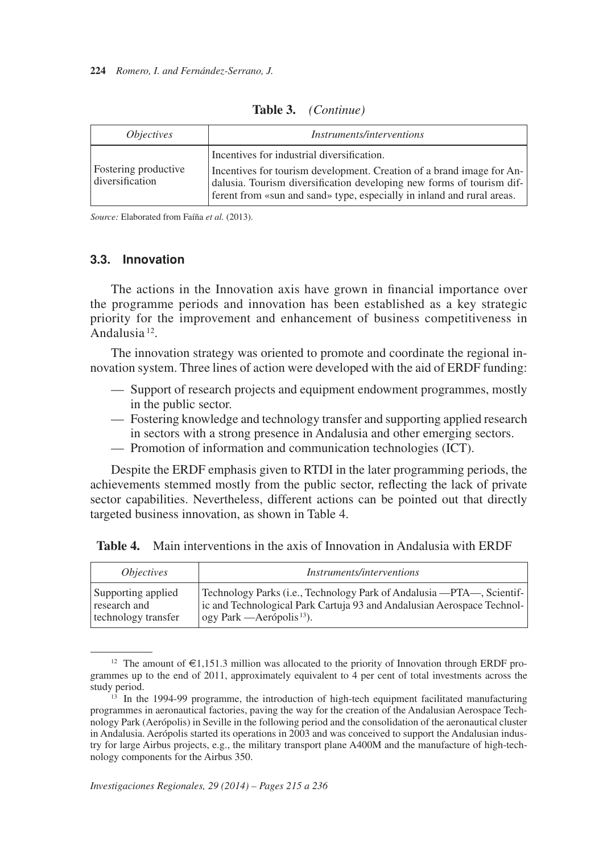| <i>Objectives</i>                       | <i>Instruments/interventions</i>                                                                                                                                                                                                                                       |
|-----------------------------------------|------------------------------------------------------------------------------------------------------------------------------------------------------------------------------------------------------------------------------------------------------------------------|
| Fostering productive<br>diversification | Incentives for industrial diversification.<br>Incentives for tourism development. Creation of a brand image for An-<br>dalusia. Tourism diversification developing new forms of tourism dif-<br>ferent from «sun and sand» type, especially in inland and rural areas. |

**Table 3.** *(Continue)*

*Source:* Elaborated from Faíña *et al.* (2013).

### **3.3. Innovation**

 Andalusia 12. The actions in the Innovation axis have grown in financial importance over the programme periods and innovation has been established as a key strategic priority for the improvement and enhancement of business competitiveness in

The innovation strategy was oriented to promote and coordinate the regional innovation system. Three lines of action were developed with the aid of ERDF funding:

- Support of research projects and equipment endowment programmes, mostly in the public sector.
- $-$  Fostering knowledge and technology transfer and supporting applied research in sectors with a strong presence in Andalusia and other emerging sectors.
- Promotion of information and communication technologies (ICT).

Despite the ERDF emphasis given to RTDI in the later programming periods, the achievements stemmed mostly from the public sector, reflecting the lack of private sector capabilities. Nevertheless, different actions can be pointed out that directly targeted business innovation, as shown in Table 4.

| <i><b>Objectives</b></i> | <i>Instruments/interventions</i>                                       |
|--------------------------|------------------------------------------------------------------------|
| Supporting applied       | Technology Parks (i.e., Technology Park of Andalusia — PTA—, Scientif- |
| research and             | ic and Technological Park Cartuja 93 and Andalusian Aerospace Technol- |
| technology transfer      | $\log$ y Park — Aerópolis <sup>13</sup> ).                             |

|  | <b>Table 4.</b> Main interventions in the axis of Innovation in Andalusia with ERDF |  |
|--|-------------------------------------------------------------------------------------|--|
|--|-------------------------------------------------------------------------------------|--|

<sup>&</sup>lt;sup>12</sup> The amount of  $\epsilon$ 1,151.3 million was allocated to the priority of Innovation through ERDF programmes up to the end of 2011, approximately equivalent to 4 per cent of total investments across the study period.<br><sup>13</sup> In the 1994-99 programme, the introduction of high-tech equipment facilitated manufacturing

programmes in aeronautical factories, paving the way for the creation of the Andalusian Aerospace Technology Park (Aerópolis) in Seville in the following period and the consolidation of the aeronautical cluster in Andalusia. Aerópolis started its operations in 2003 and was conceived to support the Andalusian industry for large Airbus projects, e.g., the military transport plane A400M and the manufacture of high-technology components for the Airbus 350.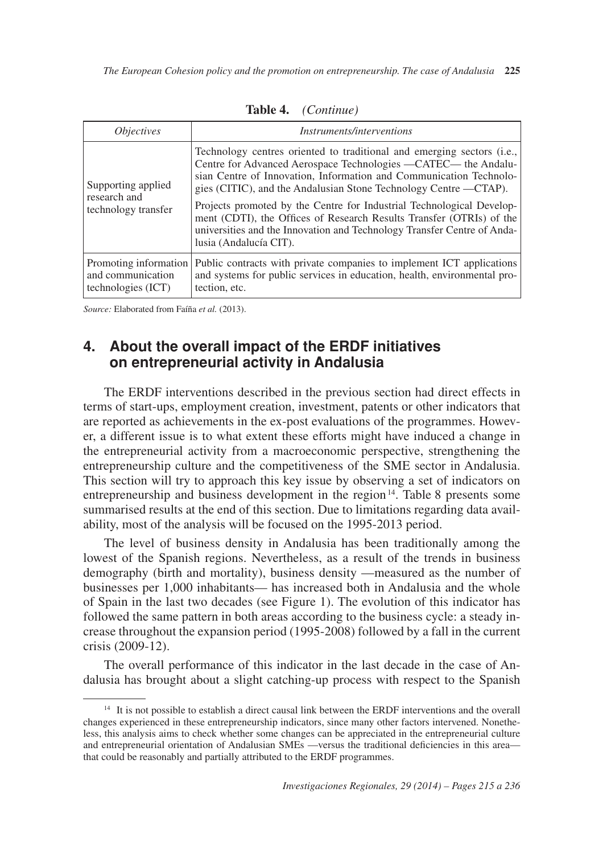| <i>Objectives</i>                                                | <i>Instruments/interventions</i>                                                                                                                                                                                                                                                                                                                                                                                                                                                                                                         |  |  |  |  |  |
|------------------------------------------------------------------|------------------------------------------------------------------------------------------------------------------------------------------------------------------------------------------------------------------------------------------------------------------------------------------------------------------------------------------------------------------------------------------------------------------------------------------------------------------------------------------------------------------------------------------|--|--|--|--|--|
| Supporting applied<br>research and<br>technology transfer        | Technology centres oriented to traditional and emerging sectors (i.e.,<br>Centre for Advanced Aerospace Technologies —CATEC— the Andalu-<br>sian Centre of Innovation, Information and Communication Technolo-<br>gies (CITIC), and the Andalusian Stone Technology Centre —CTAP).<br>Projects promoted by the Centre for Industrial Technological Develop-<br>ment (CDTI), the Offices of Research Results Transfer (OTRIs) of the<br>universities and the Innovation and Technology Transfer Centre of Anda-<br>lusia (Andalucía CIT). |  |  |  |  |  |
| Promoting information<br>and communication<br>technologies (ICT) | Public contracts with private companies to implement ICT applications<br>and systems for public services in education, health, environmental pro-<br>tection, etc.                                                                                                                                                                                                                                                                                                                                                                       |  |  |  |  |  |

**Table 4.** *(Continue)*

*Source:* Elaborated from Faíña *et al.* (2013).

# **4. About the overall impact of the ERDF initiatives on entrepreneurial activity in Andalusia**

entrepreneurship and business development in the region<sup>14</sup>. Table 8 presents some The ERDF interventions described in the previous section had direct effects in terms of start-ups, employment creation, investment, patents or other indicators that are reported as achievements in the ex-post evaluations of the programmes. However, a different issue is to what extent these efforts might have induced a change in the entrepreneurial activity from a macroeconomic perspective, strengthening the entrepreneurship culture and the competitiveness of the SME sector in Andalusia. This section will try to approach this key issue by observing a set of indicators on summarised results at the end of this section. Due to limitations regarding data availability, most of the analysis will be focused on the 1995-2013 period.

The level of business density in Andalusia has been traditionally among the lowest of the Spanish regions. Nevertheless, as a result of the trends in business demography (birth and mortality), business density —measured as the number of businesses per 1,000 inhabitants— has increased both in Andalusia and the whole of Spain in the last two decades (see Figure 1). The evolution of this indicator has followed the same pattern in both areas according to the business cycle: a steady increase throughout the expansion period (1995-2008) followed by a fall in the current crisis (2009-12).

The overall performance of this indicator in the last decade in the case of Andalusia has brought about a slight catching-up process with respect to the Spanish

<sup>&</sup>lt;sup>14</sup> It is not possible to establish a direct causal link between the ERDF interventions and the overall changes experienced in these entrepreneurship indicators, since many other factors intervened. Nonetheless, this analysis aims to check whether some changes can be appreciated in the entrepreneurial culture and entrepreneurial orientation of Andalusian SMEs —versus the traditional deficiencies in this area that could be reasonably and partially attributed to the ERDF programmes.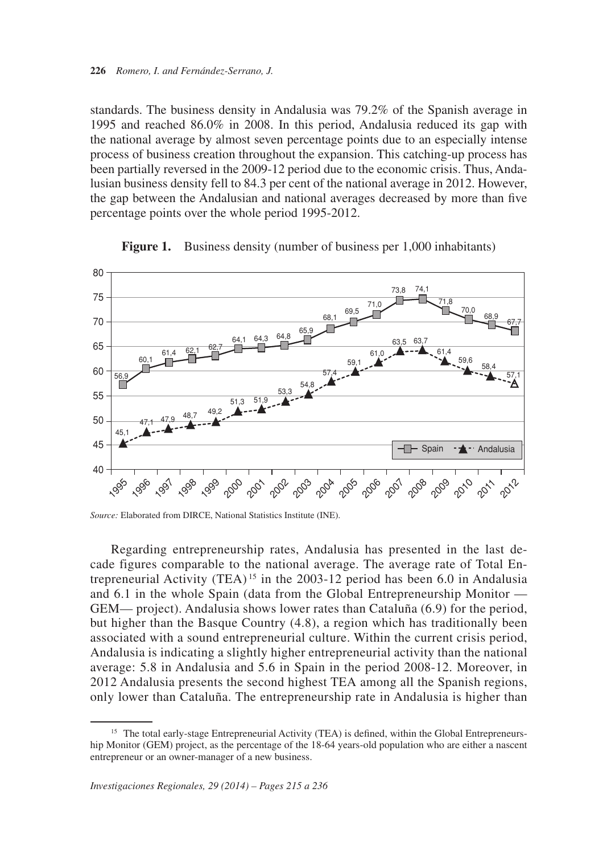standards. The business density in Andalusia was 79.2% of the Spanish average in 1995 and reached 86.0% in 2008. In this period, Andalusia reduced its gap with the national average by almost seven percentage points due to an especially intense process of business creation throughout the expansion. This catching-up process has been partially reversed in the 2009-12 period due to the economic crisis. Thus, Andalusian business density fell to 84.3 per cent of the national average in 2012. However, the gap between the Andalusian and national averages decreased by more than five percentage points over the whole period 1995-2012.



**Figure 1.** Business density (number of business per 1,000 inhabitants)

*Source:* Elaborated from DIRCE, National Statistics Institute (INE).

 trepreneurial Activity (TEA) 15 in the 2003-12 period has been 6.0 in Andalusia Regarding entrepreneurship rates, Andalusia has presented in the last decade figures comparable to the national average. The average rate of Total Enand 6.1 in the whole Spain (data from the Global Entrepreneurship Monitor — GEM— project). Andalusia shows lower rates than Cataluña (6.9) for the period, but higher than the Basque Country (4.8), a region which has traditionally been associated with a sound entrepreneurial culture. Within the current crisis period, Andalusia is indicating a slightly higher entrepreneurial activity than the national average: 5.8 in Andalusia and 5.6 in Spain in the period 2008-12. Moreover, in 2012 Andalusia presents the second highest TEA among all the Spanish regions, only lower than Cataluña. The entrepreneurship rate in Andalusia is higher than

<sup>&</sup>lt;sup>15</sup> The total early-stage Entrepreneurial Activity (TEA) is defined, within the Global Entrepreneurship Monitor (GEM) project, as the percentage of the 18-64 years-old population who are either a nascent entrepreneur or an owner-manager of a new business.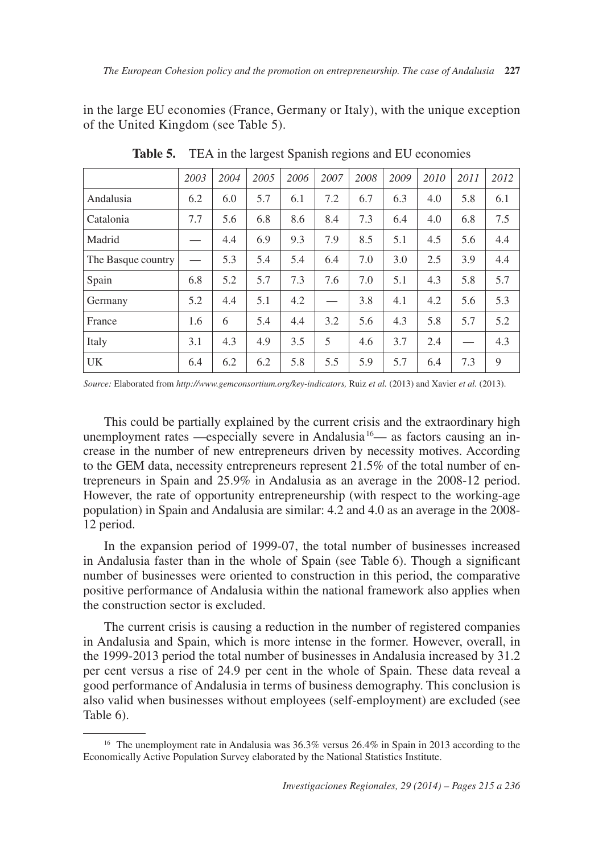in the large EU economies (France, Germany or Italy), with the unique exception of the United Kingdom (see Table 5).

|                    | 2003 | 2004 | 2005 | 2006 | 2007 | 2008 | 2009 | 2010 | 2011 | 2012 |
|--------------------|------|------|------|------|------|------|------|------|------|------|
| Andalusia          | 6.2  | 6.0  | 5.7  | 6.1  | 7.2  | 6.7  | 6.3  | 4.0  | 5.8  | 6.1  |
| Catalonia          | 7.7  | 5.6  | 6.8  | 8.6  | 8.4  | 7.3  | 6.4  | 4.0  | 6.8  | 7.5  |
| Madrid             |      | 4.4  | 6.9  | 9.3  | 7.9  | 8.5  | 5.1  | 4.5  | 5.6  | 4.4  |
| The Basque country |      | 5.3  | 5.4  | 5.4  | 6.4  | 7.0  | 3.0  | 2.5  | 3.9  | 4.4  |
| Spain              | 6.8  | 5.2  | 5.7  | 7.3  | 7.6  | 7.0  | 5.1  | 4.3  | 5.8  | 5.7  |
| Germany            | 5.2  | 4.4  | 5.1  | 4.2  |      | 3.8  | 4.1  | 4.2  | 5.6  | 5.3  |
| France             | 1.6  | 6    | 5.4  | 4.4  | 3.2  | 5.6  | 4.3  | 5.8  | 5.7  | 5.2  |
| Italy              | 3.1  | 4.3  | 4.9  | 3.5  | 5    | 4.6  | 3.7  | 2.4  |      | 4.3  |
| UK                 | 6.4  | 6.2  | 6.2  | 5.8  | 5.5  | 5.9  | 5.7  | 6.4  | 7.3  | 9    |

**Table 5.** TEA in the largest Spanish regions and EU economies

*Source:* Elaborated from *http://www.gemconsortium.org/key-indicators,* Ruiz *et al.* (2013) and Xavier *et al.* (2013).

unemployment rates —especially severe in Andalusia<sup>16</sup>— as factors causing an in-This could be partially explained by the current crisis and the extraordinary high crease in the number of new entrepreneurs driven by necessity motives. According to the GEM data, necessity entrepreneurs represent 21.5% of the total number of entrepreneurs in Spain and 25.9% in Andalusia as an average in the 2008-12 period. However, the rate of opportunity entrepreneurship (with respect to the working-age population) in Spain and Andalusia are similar: 4.2 and 4.0 as an average in the 2008 12 period.

In the expansion period of 1999-07, the total number of businesses increased in Andalusia faster than in the whole of Spain (see Table 6). Though a significant number of businesses were oriented to construction in this period, the comparative positive performance of Andalusia within the national framework also applies when the construction sector is excluded.

 Table 6). The current crisis is causing a reduction in the number of registered companies in Andalusia and Spain, which is more intense in the former. However, overall, in the 1999-2013 period the total number of businesses in Andalusia increased by 31.2 per cent versus a rise of 24.9 per cent in the whole of Spain. These data reveal a good performance of Andalusia in terms of business demography. This conclusion is also valid when businesses without employees (self-employment) are excluded (see

<sup>&</sup>lt;sup>16</sup> The unemployment rate in Andalusia was 36.3% versus 26.4% in Spain in 2013 according to the Economically Active Population Survey elaborated by the National Statistics Institute.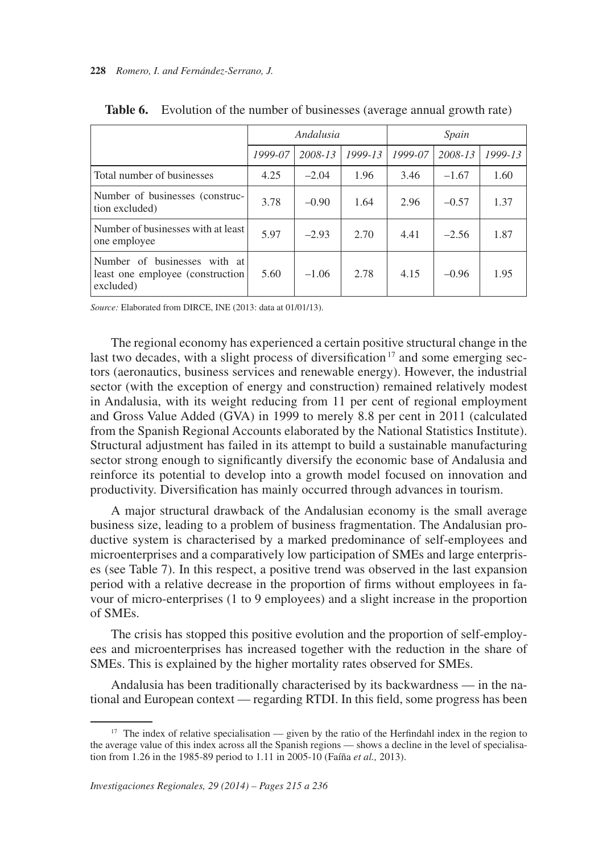|                                                                               |         | Andalusia |             | Spain   |         |         |  |
|-------------------------------------------------------------------------------|---------|-----------|-------------|---------|---------|---------|--|
|                                                                               | 1999-07 | 2008-13   | $1999 - 13$ | 1999-07 | 2008-13 | 1999-13 |  |
| Total number of businesses                                                    | 4.25    | $-2.04$   | 1.96        | 3.46    | $-1.67$ | 1.60    |  |
| Number of businesses (construc-<br>tion excluded)                             | 3.78    | $-0.90$   | 1.64        | 2.96    | $-0.57$ | 1.37    |  |
| Number of businesses with at least<br>one employee                            | 5.97    | $-2.93$   | 2.70        | 4.41    | $-2.56$ | 1.87    |  |
| Number of businesses with at<br>least one employee (construction<br>excluded) | 5.60    | $-1.06$   | 2.78        | 4.15    | $-0.96$ | 1.95    |  |

**Table 6.** Evolution of the number of businesses (average annual growth rate)

*Source:* Elaborated from DIRCE, INE (2013: data at 01/01/13).

last two decades, with a slight process of diversification<sup>17</sup> and some emerging sec-The regional economy has experienced a certain positive structural change in the tors (aeronautics, business services and renewable energy). However, the industrial sector (with the exception of energy and construction) remained relatively modest in Andalusia, with its weight reducing from 11 per cent of regional employment and Gross Value Added (GVA) in 1999 to merely 8.8 per cent in 2011 (calculated from the Spanish Regional Accounts elaborated by the National Statistics Institute). Structural adjustment has failed in its attempt to build a sustainable manufacturing sector strong enough to significantly diversify the economic base of Andalusia and reinforce its potential to develop into a growth model focused on innovation and productivity. Diversification has mainly occurred through advances in tourism.

A major structural drawback of the Andalusian economy is the small average business size, leading to a problem of business fragmentation. The Andalusian productive system is characterised by a marked predominance of self-employees and microenterprises and a comparatively low participation of SMEs and large enterprises (see Table 7). In this respect, a positive trend was observed in the last expansion period with a relative decrease in the proportion of firms without employees in favour of micro-enterprises (1 to 9 employees) and a slight increase in the proportion of SMEs.

The crisis has stopped this positive evolution and the proportion of self-employees and microenterprises has increased together with the reduction in the share of SMEs. This is explained by the higher mortality rates observed for SMEs.

Andalusia has been traditionally characterised by its backwardness — in the national and European context — regarding RTDI. In this field, some progress has been

<sup>&</sup>lt;sup>17</sup> The index of relative specialisation — given by the ratio of the Herfindahl index in the region to the average value of this index across all the Spanish regions — shows a decline in the level of specialisation from 1.26 in the 1985-89 period to 1.11 in 2005-10 (Faíña *et al.,* 2013).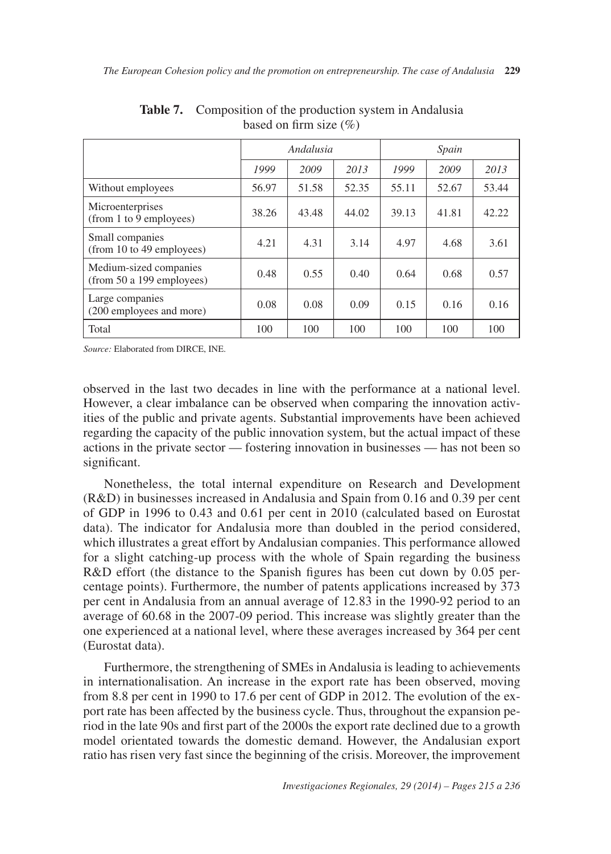|                                                     | Andalusia |       |       | Spain |       |       |
|-----------------------------------------------------|-----------|-------|-------|-------|-------|-------|
|                                                     | 1999      | 2009  | 2013  | 1999  | 2009  | 2013  |
| Without employees                                   | 56.97     | 51.58 | 52.35 | 55.11 | 52.67 | 53.44 |
| Microenterprises<br>(from 1 to 9 employees)         | 38.26     | 43.48 | 44.02 | 39.13 | 41.81 | 42.22 |
| Small companies<br>(from 10 to 49 employees)        | 4.21      | 4.31  | 3.14  | 4.97  | 4.68  | 3.61  |
| Medium-sized companies<br>(from 50 a 199 employees) | 0.48      | 0.55  | 0.40  | 0.64  | 0.68  | 0.57  |
| Large companies<br>(200 employees and more)         | 0.08      | 0.08  | 0.09  | 0.15  | 0.16  | 0.16  |
| Total                                               | 100       | 100   | 100   | 100   | 100   | 100   |

**Table 7.** Composition of the production system in Andalusia based on firm size  $(\% )$ 

*Source:* Elaborated from DIRCE, INE.

observed in the last two decades in line with the performance at a national level. However, a clear imbalance can be observed when comparing the innovation activities of the public and private agents. Substantial improvements have been achieved regarding the capacity of the public innovation system, but the actual impact of these actions in the private sector — fostering innovation in businesses — has not been so significant.

Nonetheless, the total internal expenditure on Research and Development (R&D) in businesses increased in Andalusia and Spain from 0.16 and 0.39 per cent of GDP in 1996 to 0.43 and 0.61 per cent in 2010 (calculated based on Eurostat data). The indicator for Andalusia more than doubled in the period considered, which illustrates a great effort by Andalusian companies. This performance allowed for a slight catching-up process with the whole of Spain regarding the business R&D effort (the distance to the Spanish figures has been cut down by 0.05 percentage points). Furthermore, the number of patents applications increased by 373 per cent in Andalusia from an annual average of 12.83 in the 1990-92 period to an average of 60.68 in the 2007-09 period. This increase was slightly greater than the one experienced at a national level, where these averages increased by 364 per cent (Eurostat data).

Furthermore, the strengthening of SMEs in Andalusia is leading to achievements in internationalisation. An increase in the export rate has been observed, moving from 8.8 per cent in 1990 to 17.6 per cent of GDP in 2012. The evolution of the export rate has been affected by the business cycle. Thus, throughout the expansion period in the late 90s and first part of the 2000s the export rate declined due to a growth model orientated towards the domestic demand. However, the Andalusian export ratio has risen very fast since the beginning of the crisis. Moreover, the improvement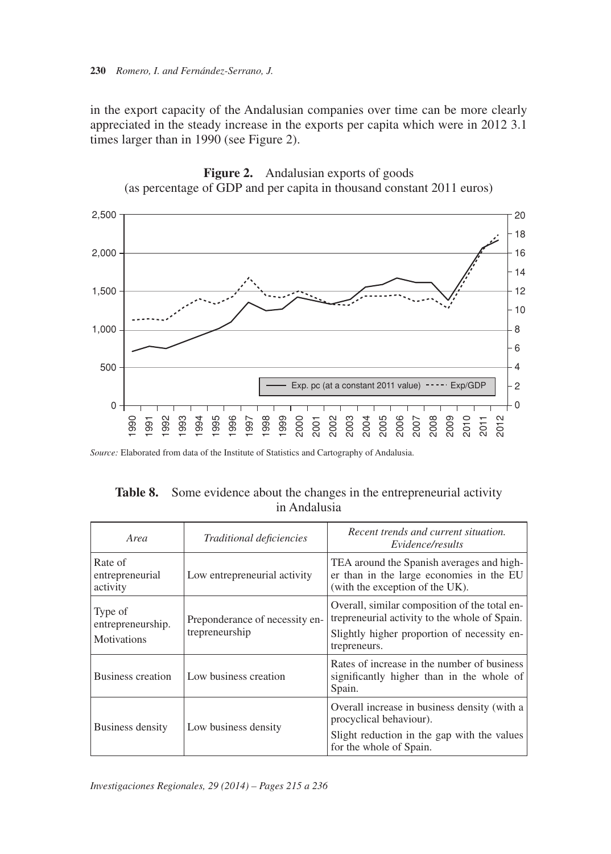times larger than in 1990 (see Figure 2). in the export capacity of the Andalusian companies over time can be more clearly appreciated in the steady increase in the exports per capita which were in 2012 3.1





| Area                                        | Traditional deficiencies                         | Recent trends and current situation.<br>Evidence/results                                                                                                      |  |  |
|---------------------------------------------|--------------------------------------------------|---------------------------------------------------------------------------------------------------------------------------------------------------------------|--|--|
| Rate of<br>entrepreneurial<br>activity      | Low entrepreneurial activity                     | TEA around the Spanish averages and high-<br>er than in the large economies in the EU<br>(with the exception of the UK).                                      |  |  |
| Type of<br>entrepreneurship.<br>Motivations | Preponderance of necessity en-<br>trepreneurship | Overall, similar composition of the total en-<br>trepreneurial activity to the whole of Spain.<br>Slightly higher proportion of necessity en-<br>trepreneurs. |  |  |
| <b>Business creation</b>                    | Low business creation                            | Rates of increase in the number of business<br>significantly higher than in the whole of                                                                      |  |  |

Spain.

procyclical behaviour).

for the whole of Spain.

Overall increase in business density (with a

Slight reduction in the gap with the values

**Table 8.** Some evidence about the changes in the entrepreneurial activity in Andalusia

Business density Low business density

*Source:* Elaborated from data of the Institute of Statistics and Cartography of Andalusia.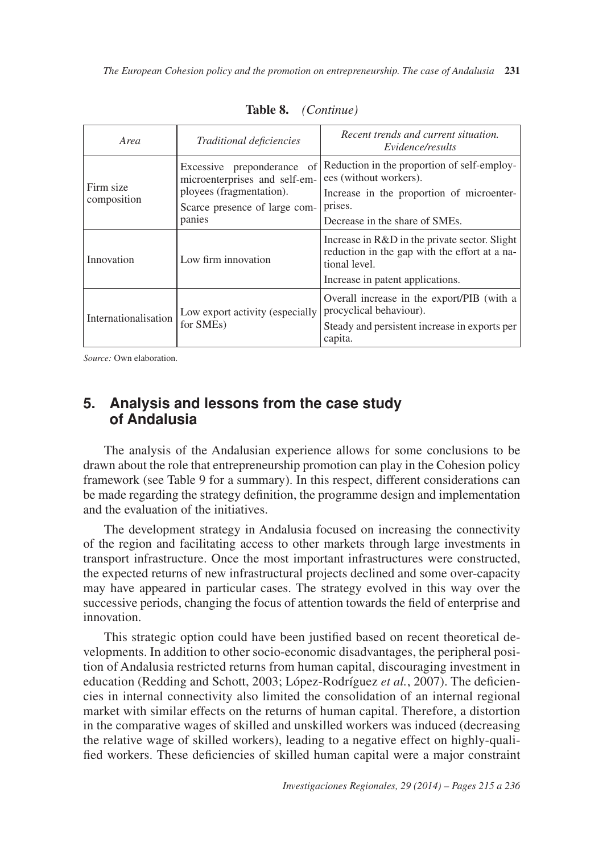| Area                     | Traditional deficiencies                                                                                                           | Recent trends and current situation.<br>Evidence/results                                                                                                        |
|--------------------------|------------------------------------------------------------------------------------------------------------------------------------|-----------------------------------------------------------------------------------------------------------------------------------------------------------------|
| Firm size<br>composition | Excessive preponderance of<br>microenterprises and self-em-<br>ployees (fragmentation).<br>Scarce presence of large com-<br>panies | Reduction in the proportion of self-employ-<br>ees (without workers).<br>Increase in the proportion of microenter-<br>prises.<br>Decrease in the share of SMEs. |
| Innovation               | Low firm innovation                                                                                                                | Increase in R&D in the private sector. Slight<br>reduction in the gap with the effort at a na-<br>tional level.<br>Increase in patent applications.             |
| Internationalisation     | Low export activity (especially<br>for SME <sub>s</sub> )                                                                          | Overall increase in the export/PIB (with a<br>procyclical behaviour).<br>Steady and persistent increase in exports per<br>capita.                               |

**Table 8.** *(Continue)*

*Source:* Own elaboration.

#### $\mathbf{5}$ . **5. Analysis and lessons from the case study of Andalusia**

The analysis of the Andalusian experience allows for some conclusions to be drawn about the role that entrepreneurship promotion can play in the Cohesion policy framework (see Table 9 for a summary). In this respect, different considerations can be made regarding the strategy definition, the programme design and implementation and the evaluation of the initiatives.

The development strategy in Andalusia focused on increasing the connectivity of the region and facilitating access to other markets through large investments in transport infrastructure. Once the most important infrastructures were constructed, the expected returns of new infrastructural projects declined and some over-capacity may have appeared in particular cases. The strategy evolved in this way over the successive periods, changing the focus of attention towards the field of enterprise and innovation.

This strategic option could have been justified based on recent theoretical developments. In addition to other socio-economic disadvantages, the peripheral position of Andalusia restricted returns from human capital, discouraging investment in education (Redding and Schott, 2003; López-Rodríguez *et al.*, 2007). The deficiencies in internal connectivity also limited the consolidation of an internal regional market with similar effects on the returns of human capital. Therefore, a distortion in the comparative wages of skilled and unskilled workers was induced (decreasing the relative wage of skilled workers), leading to a negative effect on highly-qualified workers. These deficiencies of skilled human capital were a major constraint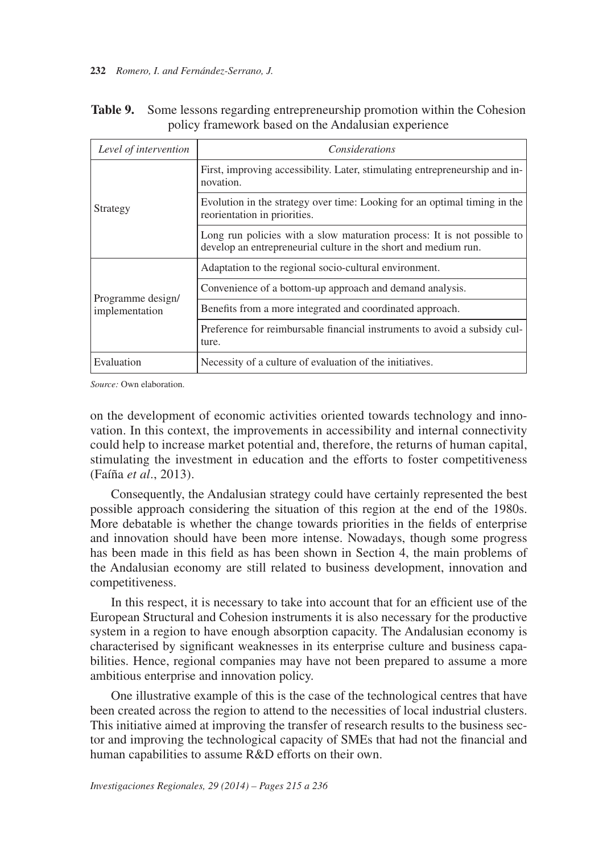### **232** *Romero, I. and Fernández-Serrano, J.*

| Level of intervention               | Considerations                                                                                                                             |  |  |
|-------------------------------------|--------------------------------------------------------------------------------------------------------------------------------------------|--|--|
| Strategy                            | First, improving accessibility. Later, stimulating entrepreneurship and in-<br>novation.                                                   |  |  |
|                                     | Evolution in the strategy over time: Looking for an optimal timing in the<br>reorientation in priorities.                                  |  |  |
|                                     | Long run policies with a slow maturation process: It is not possible to<br>develop an entrepreneurial culture in the short and medium run. |  |  |
| Programme design/<br>implementation | Adaptation to the regional socio-cultural environment.                                                                                     |  |  |
|                                     | Convenience of a bottom-up approach and demand analysis.                                                                                   |  |  |
|                                     | Benefits from a more integrated and coordinated approach.                                                                                  |  |  |
|                                     | Preference for reimbursable financial instruments to avoid a subsidy cul-<br>ture.                                                         |  |  |
| Evaluation                          | Necessity of a culture of evaluation of the initiatives.                                                                                   |  |  |

| Table 9. Some lessons regarding entrepreneurship promotion within the Cohesion |
|--------------------------------------------------------------------------------|
| policy framework based on the Andalusian experience                            |

*Source:* Own elaboration.

on the development of economic activities oriented towards technology and innovation. In this context, the improvements in accessibility and internal connectivity could help to increase market potential and, therefore, the returns of human capital, stimulating the investment in education and the efforts to foster competitiveness (Faíña *et al*., 2013).

Consequently, the Andalusian strategy could have certainly represented the best possible approach considering the situation of this region at the end of the 1980s. More debatable is whether the change towards priorities in the fields of enterprise and innovation should have been more intense. Nowadays, though some progress has been made in this field as has been shown in Section 4, the main problems of the Andalusian economy are still related to business development, innovation and competitiveness.

In this respect, it is necessary to take into account that for an efficient use of the European Structural and Cohesion instruments it is also necessary for the productive system in a region to have enough absorption capacity. The Andalusian economy is characterised by significant weaknesses in its enterprise culture and business capabilities. Hence, regional companies may have not been prepared to assume a more ambitious enterprise and innovation policy.

One illustrative example of this is the case of the technological centres that have been created across the region to attend to the necessities of local industrial clusters. This initiative aimed at improving the transfer of research results to the business sector and improving the technological capacity of SMEs that had not the financial and human capabilities to assume R&D efforts on their own.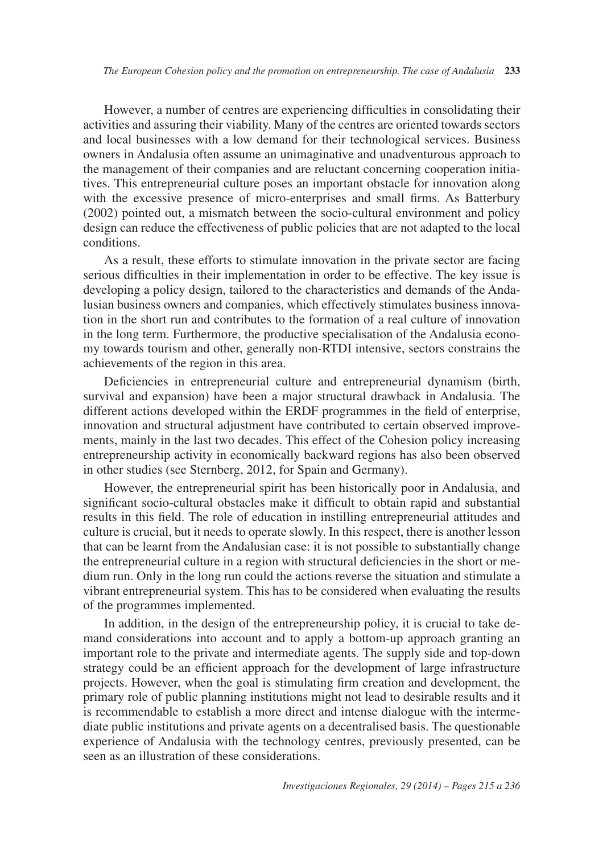However, a number of centres are experiencing difficulties in consolidating their activities and assuring their viability. Many of the centres are oriented towards sectors and local businesses with a low demand for their technological services. Business owners in Andalusia often assume an unimaginative and unadventurous approach to the management of their companies and are reluctant concerning cooperation initiatives. This entrepreneurial culture poses an important obstacle for innovation along with the excessive presence of micro-enterprises and small firms. As Batterbury (2002) pointed out, a mismatch between the socio-cultural environment and policy design can reduce the effectiveness of public policies that are not adapted to the local conditions.

As a result, these efforts to stimulate innovation in the private sector are facing serious difficulties in their implementation in order to be effective. The key issue is developing a policy design, tailored to the characteristics and demands of the Andalusian business owners and companies, which effectively stimulates business innovation in the short run and contributes to the formation of a real culture of innovation in the long term. Furthermore, the productive specialisation of the Andalusia economy towards tourism and other, generally non-RTDI intensive, sectors constrains the achievements of the region in this area.

Deficiencies in entrepreneurial culture and entrepreneurial dynamism (birth, survival and expansion) have been a major structural drawback in Andalusia. The different actions developed within the ERDF programmes in the field of enterprise, innovation and structural adjustment have contributed to certain observed improvements, mainly in the last two decades. This effect of the Cohesion policy increasing entrepreneurship activity in economically backward regions has also been observed in other studies (see Sternberg, 2012, for Spain and Germany).

However, the entrepreneurial spirit has been historically poor in Andalusia, and significant socio-cultural obstacles make it difficult to obtain rapid and substantial results in this field. The role of education in instilling entrepreneurial attitudes and culture is crucial, but it needs to operate slowly. In this respect, there is another lesson that can be learnt from the Andalusian case: it is not possible to substantially change the entrepreneurial culture in a region with structural deficiencies in the short or medium run. Only in the long run could the actions reverse the situation and stimulate a vibrant entrepreneurial system. This has to be considered when evaluating the results of the programmes implemented.

In addition, in the design of the entrepreneurship policy, it is crucial to take demand considerations into account and to apply a bottom-up approach granting an important role to the private and intermediate agents. The supply side and top-down strategy could be an efficient approach for the development of large infrastructure projects. However, when the goal is stimulating firm creation and development, the primary role of public planning institutions might not lead to desirable results and it is recommendable to establish a more direct and intense dialogue with the intermediate public institutions and private agents on a decentralised basis. The questionable experience of Andalusia with the technology centres, previously presented, can be seen as an illustration of these considerations.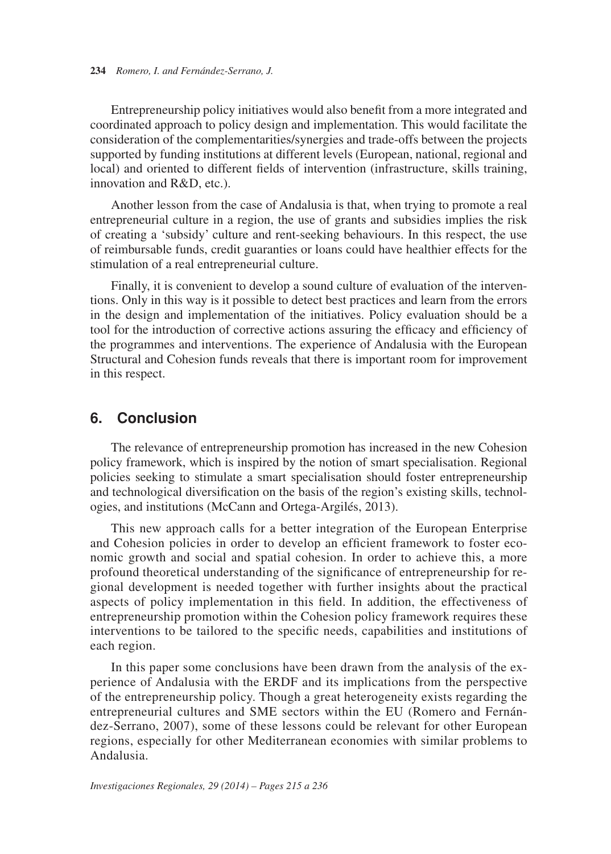Entrepreneurship policy initiatives would also benefit from a more integrated and coordinated approach to policy design and implementation. This would facilitate the consideration of the complementarities/synergies and trade-offs between the projects supported by funding institutions at different levels (European, national, regional and local) and oriented to different fields of intervention (infrastructure, skills training, innovation and R&D, etc.).

Another lesson from the case of Andalusia is that, when trying to promote a real entrepreneurial culture in a region, the use of grants and subsidies implies the risk of creating a 'subsidy' culture and rent-seeking behaviours. In this respect, the use of reimbursable funds, credit guaranties or loans could have healthier effects for the stimulation of a real entrepreneurial culture.

Finally, it is convenient to develop a sound culture of evaluation of the interventions. Only in this way is it possible to detect best practices and learn from the errors in the design and implementation of the initiatives. Policy evaluation should be a tool for the introduction of corrective actions assuring the efficacy and efficiency of the programmes and interventions. The experience of Andalusia with the European Structural and Cohesion funds reveals that there is important room for improvement in this respect.

# **6. Conclusion**

The relevance of entrepreneurship promotion has increased in the new Cohesion policy framework, which is inspired by the notion of smart specialisation. Regional policies seeking to stimulate a smart specialisation should foster entrepreneurship and technological diversification on the basis of the region's existing skills, technologies, and institutions (McCann and Ortega-Argilés, 2013).

This new approach calls for a better integration of the European Enterprise and Cohesion policies in order to develop an efficient framework to foster economic growth and social and spatial cohesion. In order to achieve this, a more profound theoretical understanding of the significance of entrepreneurship for regional development is needed together with further insights about the practical aspects of policy implementation in this field. In addition, the effectiveness of entrepreneurship promotion within the Cohesion policy framework requires these interventions to be tailored to the specific needs, capabilities and institutions of each region.

In this paper some conclusions have been drawn from the analysis of the experience of Andalusia with the ERDF and its implications from the perspective of the entrepreneurship policy. Though a great heterogeneity exists regarding the entrepreneurial cultures and SME sectors within the EU (Romero and Fernández-Serrano, 2007), some of these lessons could be relevant for other European regions, especially for other Mediterranean economies with similar problems to Andalusia.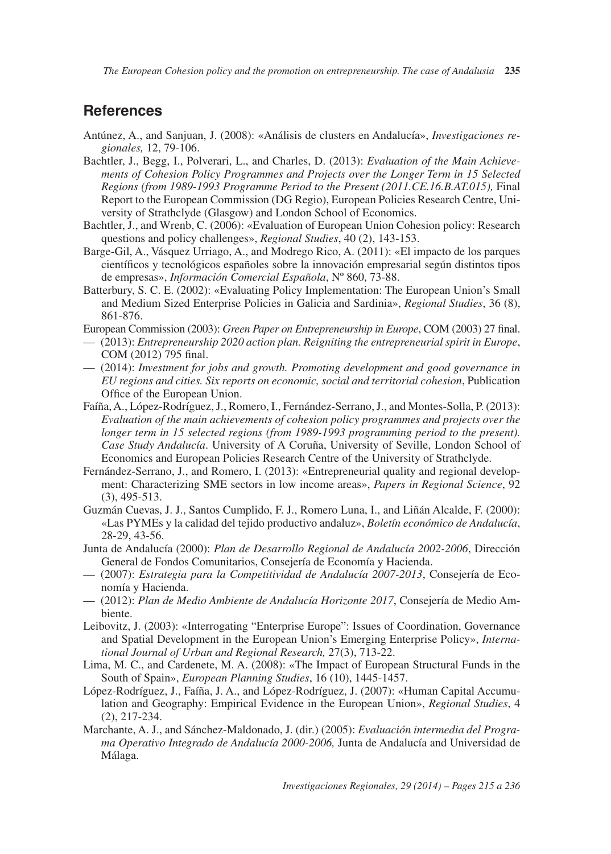*The European Cohesion policy and the promotion on entrepreneurship. The case of Andalusia* **235** 

# **References**

- Antúnez, A., and Sanjuan, J. (2008): «Análisis de clusters en Andalucía», *Investigaciones regionales,* 12, 79-106.
- Bachtler, J., Begg, I., Polverari, L., and Charles, D. (2013): *Evaluation of the Main Achievements of Cohesion Policy Programmes and Projects over the Longer Term in 15 Selected Regions (from 1989-1993 Programme Period to the Present (2011.CE.16.B.AT.015),* Final Report to the European Commission (DG Regio), European Policies Research Centre, University of Strathclyde (Glasgow) and London School of Economics.
- Bachtler, J., and Wrenb, C. (2006): «Evaluation of European Union Cohesion policy: Research questions and policy challenges», *Regional Studies*, 40 (2), 143-153.
- Barge-Gil, A., Vásquez Urriago, A., and Modrego Rico, A. (2011): «El impacto de los parques científicos y tecnológicos españoles sobre la innovación empresarial según distintos tipos de empresas», *Información Comercial Española*, Nº 860, 73-88.
- Batterbury, S. C. E. (2002): «Evaluating Policy Implementation: The European Union's Small and Medium Sized Enterprise Policies in Galicia and Sardinia», *Regional Studies*, 36 (8), 861-876.
- European Commission (2003): *Green Paper on Entrepreneurship in Europe*, COM (2003) 27 final.
- — (2013): *Entrepreneurship 2020 action plan. Reigniting the entrepreneurial spirit in Europe*, COM (2012) 795 final.
- — (2014): *Investment for jobs and growth. Promoting development and good governance in EU regions and cities. Six reports on economic, social and territorial cohesion*, Publication Office of the European Union.
- Faíña, A., López-Rodríguez, J., Romero, I., Fernández-Serrano, J., and Montes-Solla, P. (2013): *Evaluation of the main achievements of cohesion policy programmes and projects over the longer term in 15 selected regions (from 1989-1993 programming period to the present). Case Study Andalucía*. University of A Coruña, University of Seville, London School of Economics and European Policies Research Centre of the University of Strathclyde.
- Fernández-Serrano, J., and Romero, I. (2013): «Entrepreneurial quality and regional development: Characterizing SME sectors in low income areas», *Papers in Regional Science*, 92 (3), 495-513.
- Guzmán Cuevas, J. J., Santos Cumplido, F. J., Romero Luna, I., and Liñán Alcalde, F. (2000): «Las PYMEs y la calidad del tejido productivo andaluz», *Boletín económico de Andalucía*, 28-29, 43-56.
- Junta de Andalucía (2000): *Plan de Desarrollo Regional de Andalucía 2002-2006*, Dirección General de Fondos Comunitarios, Consejería de Economía y Hacienda.
- — (2007): *Estrategia para la Competitividad de Andalucía 2007-2013*, Consejería de Economía y Hacienda.
- — (2012): *Plan de Medio Ambiente de Andalucía Horizonte 2017*, Consejería de Medio Ambiente.
- Leibovitz, J. (2003): «Interrogating "Enterprise Europe": Issues of Coordination, Governance and Spatial Development in the European Union's Emerging Enterprise Policy», *International Journal of Urban and Regional Research,* 27(3), 713-22.
- Lima, M. C., and Cardenete, M. A. (2008): «The Impact of European Structural Funds in the South of Spain», *European Planning Studies*, 16 (10), 1445-1457.
- López-Rodríguez, J., Faíña, J. A., and López-Rodríguez, J. (2007): «Human Capital Accumulation and Geography: Empirical Evidence in the European Union», *Regional Studies*, 4 (2), 217-234.
- Marchante, A. J., and Sánchez-Maldonado, J. (dir.) (2005): *Evaluación intermedia del Programa Operativo Integrado de Andalucía 2000-2006,* Junta de Andalucía and Universidad de Málaga.